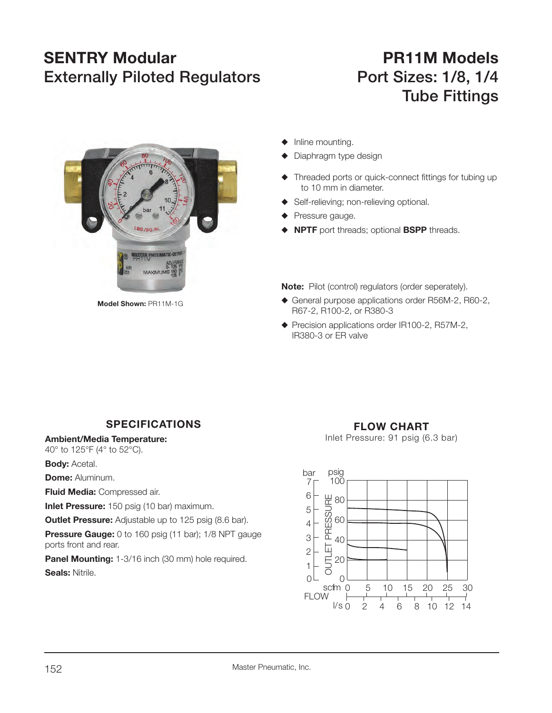## **SENTRY Modular Externally Piloted Regulators Port Sizes: 1/8, 1/4**

## **PR11M Models Tube Fittings**

MASTER PNEUMATIC-DE MAXIMUI

**Model Shown:** PR11M-1G

- $\blacklozenge$  Inline mounting.
- Diaphragm type design
- $\blacklozenge$  Threaded ports or quick-connect fittings for tubing up to 10 mm in diameter.
- Self-relieving; non-relieving optional.
- $\blacklozenge$  Pressure gauge.
- **NPTF** port threads; optional **BSPP** threads.

**Note:** Pilot (control) regulators (order seperately).

- $\blacklozenge$  General purpose applications order R56M-2, R60-2, R67-2, R100-2, or R380-3
- $\blacklozenge$  Precision applications order IR100-2, R57M-2, IR380-3 or ER valve

## **SPECIFICATIONS**

**Ambient/Media Temperature:**

40° to 125°F (4° to 52°C).

**Body:** Acetal.

**Dome:** Aluminum.

**Fluid Media:** Compressed air.

**Inlet Pressure:** 150 psig (10 bar) maximum.

**Outlet Pressure:** Adjustable up to 125 psig (8.6 bar).

**Pressure Gauge:** 0 to 160 psig (11 bar); 1/8 NPT gauge ports front and rear.

**Panel Mounting:** 1-3/16 inch (30 mm) hole required. **Seals:** Nitrile.  $\begin{matrix}0 \end{matrix}$ 

**FLOW CHART**

Inlet Pressure: 91 psig (6.3 bar)